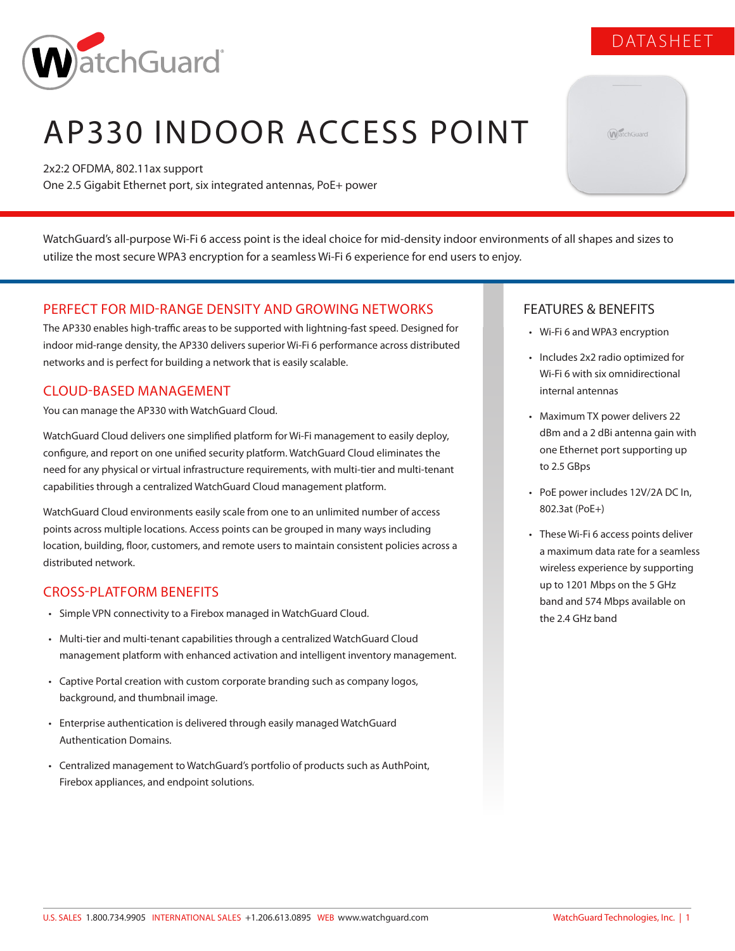

# AP330 INDOOR ACCESS POINT

2x2:2 OFDMA, 802.11ax support One 2.5 Gigabit Ethernet port, six integrated antennas, PoE+ power

WatchGuard's all-purpose Wi-Fi 6 access point is the ideal choice for mid-density indoor environments of all shapes and sizes to utilize the most secure WPA3 encryption for a seamless Wi-Fi 6 experience for end users to enjoy.

# PERFECT FOR MID-RANGE DENSITY AND GROWING NETWORKS

The AP330 enables high-traffic areas to be supported with lightning-fast speed. Designed for indoor mid-range density, the AP330 delivers superior Wi-Fi 6 performance across distributed networks and is perfect for building a network that is easily scalable.

# CLOUD-BASED MANAGEMENT

You can manage the AP330 with WatchGuard Cloud.

WatchGuard Cloud delivers one simplified platform for Wi-Fi management to easily deploy, configure, and report on one unified security platform. WatchGuard Cloud eliminates the need for any physical or virtual infrastructure requirements, with multi-tier and multi-tenant capabilities through a centralized WatchGuard Cloud management platform.

WatchGuard Cloud environments easily scale from one to an unlimited number of access points across multiple locations. Access points can be grouped in many ways including location, building, floor, customers, and remote users to maintain consistent policies across a distributed network.

# CROSS-PLATFORM BENEFITS

- Simple VPN connectivity to a Firebox managed in WatchGuard Cloud.
- Multi-tier and multi-tenant capabilities through a centralized WatchGuard Cloud management platform with enhanced activation and intelligent inventory management.
- Captive Portal creation with custom corporate branding such as company logos, background, and thumbnail image.
- Enterprise authentication is delivered through easily managed WatchGuard Authentication Domains.
- Centralized management to WatchGuard's portfolio of products such as AuthPoint, Firebox appliances, and endpoint solutions.

# FEATURES & BENEFITS

- Wi-Fi 6 and WPA3 encryption
- Includes 2x2 radio optimized for Wi-Fi 6 with six omnidirectional internal antennas
- Maximum TX power delivers 22 dBm and a 2 dBi antenna gain with one Ethernet port supporting up to 2.5 GBps
- PoE power includes 12V/2A DC In, 802.3at (PoE+)
- These Wi-Fi 6 access points deliver a maximum data rate for a seamless wireless experience by supporting up to 1201 Mbps on the 5 GHz band and 574 Mbps available on the 2.4 GHz band

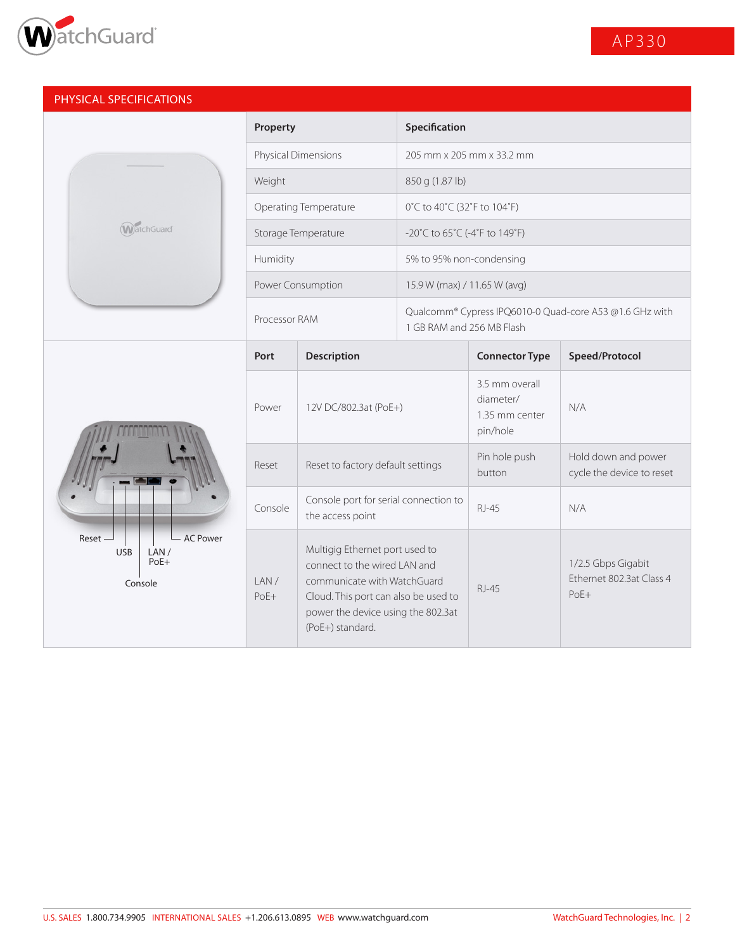

| PHYSICAL SPECIFICATIONS                                             |                       |                                                                                                                                                                                                 |                                                                                      |                                                           |                                                          |
|---------------------------------------------------------------------|-----------------------|-------------------------------------------------------------------------------------------------------------------------------------------------------------------------------------------------|--------------------------------------------------------------------------------------|-----------------------------------------------------------|----------------------------------------------------------|
|                                                                     | Property              |                                                                                                                                                                                                 | Specification                                                                        |                                                           |                                                          |
|                                                                     | Physical Dimensions   |                                                                                                                                                                                                 | 205 mm x 205 mm x 33.2 mm                                                            |                                                           |                                                          |
|                                                                     | Weight                |                                                                                                                                                                                                 | 850 g (1.87 lb)                                                                      |                                                           |                                                          |
|                                                                     | Operating Temperature |                                                                                                                                                                                                 | 0°C to 40°C (32°F to 104°F)                                                          |                                                           |                                                          |
| <b>WatchGuard</b>                                                   | Storage Temperature   |                                                                                                                                                                                                 | $-20^{\circ}$ C to 65 $^{\circ}$ C (-4 $^{\circ}$ F to 149 $^{\circ}$ F)             |                                                           |                                                          |
|                                                                     | Humidity              |                                                                                                                                                                                                 | 5% to 95% non-condensing                                                             |                                                           |                                                          |
|                                                                     |                       | Power Consumption<br>15.9 W (max) / 11.65 W (avg)                                                                                                                                               |                                                                                      |                                                           |                                                          |
|                                                                     | Processor RAM         |                                                                                                                                                                                                 | Qualcomm® Cypress IPQ6010-0 Quad-core A53 @1.6 GHz with<br>1 GB RAM and 256 MB Flash |                                                           |                                                          |
|                                                                     | Port                  | <b>Description</b>                                                                                                                                                                              |                                                                                      | <b>Connector Type</b>                                     | Speed/Protocol                                           |
| <b>AC Power</b><br>Reset<br><b>USB</b><br>LAN/<br>$PoE+$<br>Console | Power                 | 12V DC/802.3at (PoE+)                                                                                                                                                                           |                                                                                      | 3.5 mm overall<br>diameter/<br>1.35 mm center<br>pin/hole | N/A                                                      |
|                                                                     | Reset                 | Reset to factory default settings                                                                                                                                                               |                                                                                      | Pin hole push<br>button                                   | Hold down and power<br>cycle the device to reset         |
|                                                                     | Console               | Console port for serial connection to<br>the access point                                                                                                                                       |                                                                                      | <b>RJ-45</b>                                              | N/A                                                      |
|                                                                     | LAN/<br>PoE+          | Multigig Ethernet port used to<br>connect to the wired LAN and<br>communicate with WatchGuard<br>Cloud. This port can also be used to<br>power the device using the 802.3at<br>(PoE+) standard. |                                                                                      | <b>RJ-45</b>                                              | 1/2.5 Gbps Gigabit<br>Ethernet 802.3at Class 4<br>$PoE+$ |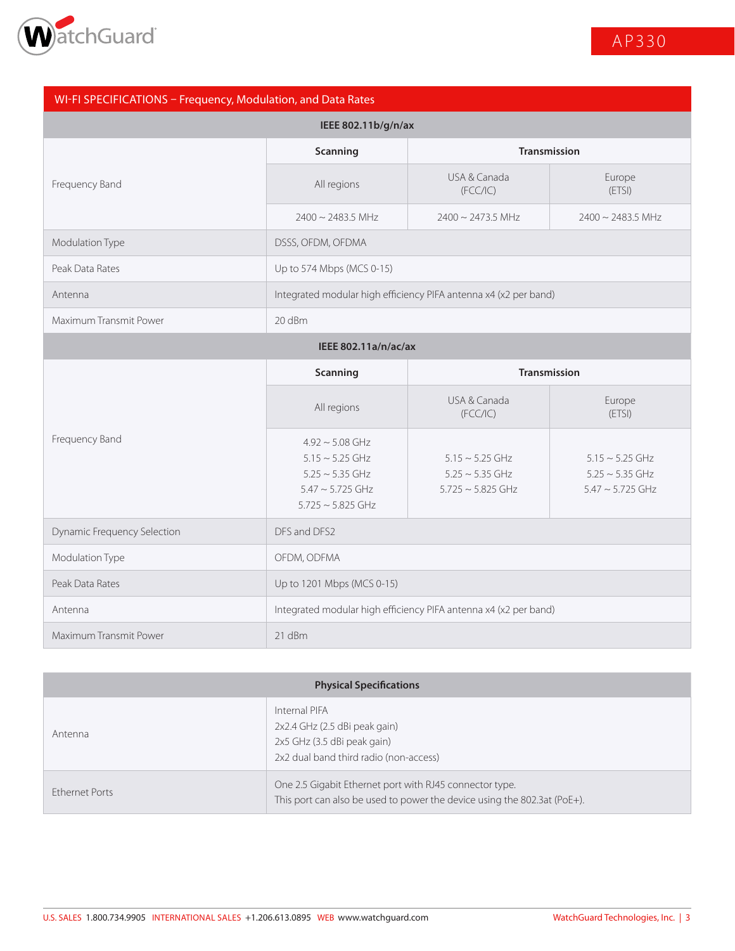

# WI-FI SPECIFICATIONS – Frequency, Modulation, and Data Rates

| IEEE 802.11b/g/n/ax    |                                                                  |                          |                        |  |
|------------------------|------------------------------------------------------------------|--------------------------|------------------------|--|
| Frequency Band         | Scanning                                                         | <b>Transmission</b>      |                        |  |
|                        | All regions                                                      | USA & Canada<br>(FCC/IC) | Europe<br>(ETSI)       |  |
|                        | $2400 \sim 2483.5$ MHz                                           | $2400 \sim 2473.5$ MHz   | $2400 \sim 2483.5$ MHz |  |
| Modulation Type        | DSSS, OFDM, OFDMA                                                |                          |                        |  |
| Peak Data Rates        | Up to 574 Mbps (MCS 0-15)                                        |                          |                        |  |
| Antenna                | Integrated modular high efficiency PIFA antenna x4 (x2 per band) |                          |                        |  |
| Maximum Transmit Power | 20 dBm                                                           |                          |                        |  |
| IEEE 802.11a/n/ac/ax   |                                                                  |                          |                        |  |
|                        | <b>Transmission</b><br>Scanning                                  |                          |                        |  |

|                                    | <b>Scallilling</b>                                                                                                      |                                                                        | <b>HAIDHIISSIUIT</b>                                                  |  |
|------------------------------------|-------------------------------------------------------------------------------------------------------------------------|------------------------------------------------------------------------|-----------------------------------------------------------------------|--|
|                                    | All regions                                                                                                             | USA & Canada<br>(FCC/IC)                                               | Europe<br>(ETSI)                                                      |  |
| Frequency Band                     | $4.92 \sim 5.08$ GHz<br>$5.15 \sim 5.25$ GHz<br>$5.25 \sim 5.35$ GHz<br>$5.47 \sim 5.725$ GHz<br>$5.725 \sim 5.825$ GHz | $5.15 \sim 5.25$ GHz<br>$5.25 \sim 5.35$ GHz<br>$5.725 \sim 5.825$ GHz | $5.15 \sim 5.25$ GHz<br>$5.25 \sim 5.35$ GHz<br>$5.47 \sim 5.725$ GHz |  |
| <b>Dynamic Frequency Selection</b> | DFS and DFS2                                                                                                            |                                                                        |                                                                       |  |
| Modulation Type                    | OFDM, ODFMA                                                                                                             |                                                                        |                                                                       |  |
| Peak Data Rates                    | Up to 1201 Mbps (MCS 0-15)                                                                                              |                                                                        |                                                                       |  |
| Antenna                            | Integrated modular high efficiency PIFA antenna x4 (x2 per band)                                                        |                                                                        |                                                                       |  |
| Maximum Transmit Power             | 21 dBm                                                                                                                  |                                                                        |                                                                       |  |

| <b>Physical Specifications</b> |                                                                                                                                     |  |  |
|--------------------------------|-------------------------------------------------------------------------------------------------------------------------------------|--|--|
| Antenna                        | Internal PIFA<br>2x2.4 GHz (2.5 dBi peak gain)<br>2x5 GHz (3.5 dBi peak gain)<br>2x2 dual band third radio (non-access)             |  |  |
| <b>Ethernet Ports</b>          | One 2.5 Gigabit Ethernet port with RJ45 connector type.<br>This port can also be used to power the device using the 802.3at (PoE+). |  |  |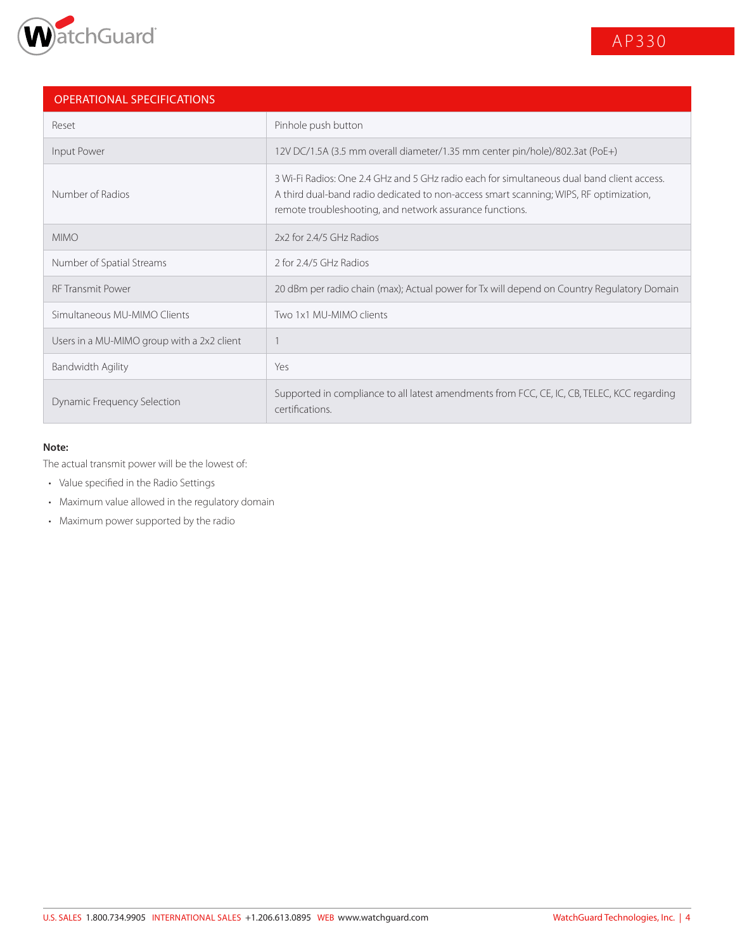

| <b>OPERATIONAL SPECIFICATIONS</b>          |                                                                                                                                                                                                                                                  |
|--------------------------------------------|--------------------------------------------------------------------------------------------------------------------------------------------------------------------------------------------------------------------------------------------------|
| Reset                                      | Pinhole push button                                                                                                                                                                                                                              |
| Input Power                                | 12V DC/1.5A (3.5 mm overall diameter/1.35 mm center pin/hole)/802.3at (PoE+)                                                                                                                                                                     |
| Number of Radios                           | 3 Wi-Fi Radios: One 2.4 GHz and 5 GHz radio each for simultaneous dual band client access.<br>A third dual-band radio dedicated to non-access smart scanning; WIPS, RF optimization,<br>remote troubleshooting, and network assurance functions. |
| <b>MIMO</b>                                | 2x2 for 2.4/5 GHz Radios                                                                                                                                                                                                                         |
| Number of Spatial Streams                  | 2 for 2.4/5 GHz Radios                                                                                                                                                                                                                           |
| <b>RF Transmit Power</b>                   | 20 dBm per radio chain (max); Actual power for Tx will depend on Country Regulatory Domain                                                                                                                                                       |
| Simultaneous MU-MIMO Clients               | Two 1x1 MU-MIMO clients                                                                                                                                                                                                                          |
| Users in a MU-MIMO group with a 2x2 client |                                                                                                                                                                                                                                                  |
| Bandwidth Agility                          | Yes                                                                                                                                                                                                                                              |
| <b>Dynamic Frequency Selection</b>         | Supported in compliance to all latest amendments from FCC, CE, IC, CB, TELEC, KCC regarding<br>certifications.                                                                                                                                   |

#### **Note:**

The actual transmit power will be the lowest of:

- Value specified in the Radio Settings
- Maximum value allowed in the regulatory domain
- Maximum power supported by the radio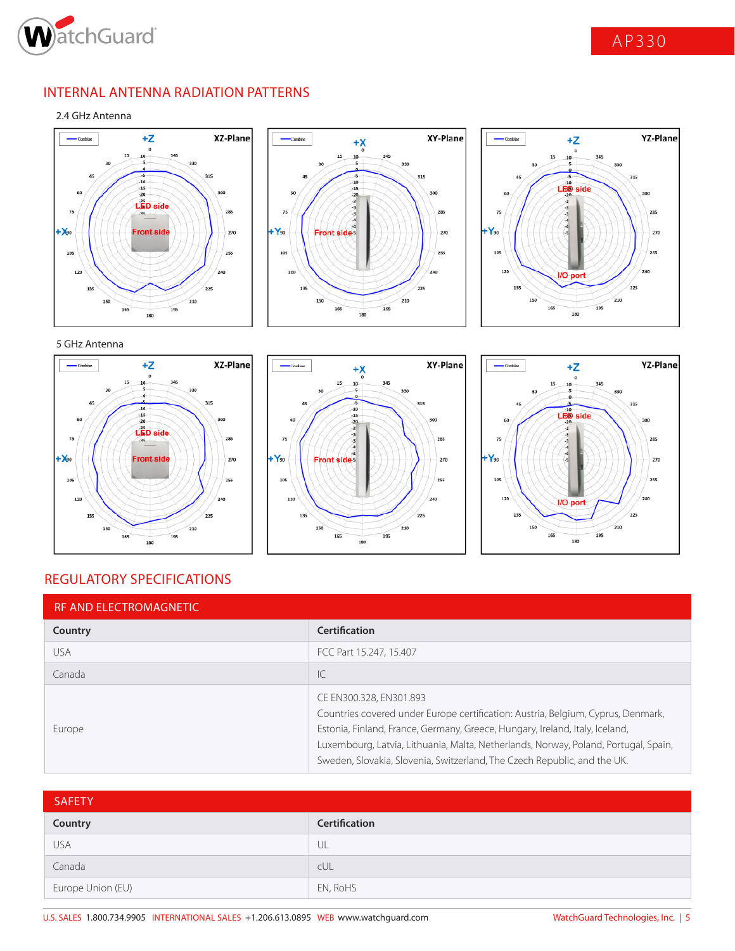

# INTERNAL ANTENNA RADIATION PATTERNS

### 2.4 GHz Antenna







## 5 GHz Antenna







# REGULATORY SPECIFICATIONS

| <b>RF AND ELECTROMAGNETIC</b> |                                                                                                                                                                                                                                                                                                                                                                |
|-------------------------------|----------------------------------------------------------------------------------------------------------------------------------------------------------------------------------------------------------------------------------------------------------------------------------------------------------------------------------------------------------------|
| Country                       | <b>Certification</b>                                                                                                                                                                                                                                                                                                                                           |
| <b>USA</b>                    | FCC Part 15.247, 15.407                                                                                                                                                                                                                                                                                                                                        |
| Canada                        | IC                                                                                                                                                                                                                                                                                                                                                             |
| Europe                        | CE EN300.328, EN301.893<br>Countries covered under Europe certification: Austria, Belgium, Cyprus, Denmark,<br>Estonia, Finland, France, Germany, Greece, Hungary, Ireland, Italy, Iceland,<br>Luxembourg, Latvia, Lithuania, Malta, Netherlands, Norway, Poland, Portugal, Spain,<br>Sweden, Slovakia, Slovenia, Switzerland, The Czech Republic, and the UK. |

| <b>SAFETY</b>     |               |
|-------------------|---------------|
| Country           | Certification |
| <b>USA</b>        | UL            |
| Canada            | cUL           |
| Europe Union (EU) | EN, RoHS      |